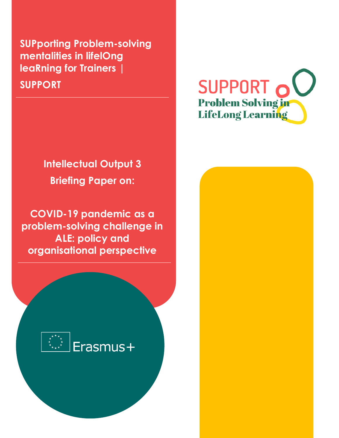**SUPporting Problem-solving mentalities in lifelOng leaRning for Trainers | SUPPORT**

# **Intellectual Output 3 Briefing Paper on:**

**COVID-19 pandemic as a problem-solving challenge in ALE: policy and organisational perspective**



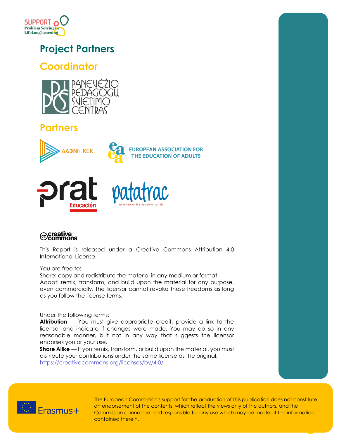

# **Project Partners**

### **Coordinator**



# **Partners**









This Report is released under a Creative Commons Attribution 4.0 International License.

#### You are free to:

Share: copy and redistribute the material in any medium or format. Adapt: remix, transform, and build upon the material for any purpose, even commercially. The licensor cannot revoke these freedoms as long as you follow the license terms.

#### Under the following terms:

**Attribution** — You must give appropriate credit, provide a link to the license, and indicate if changes were made. You may do so in any reasonable manner, but not in any way that suggests the licensor endorses you or your use.

**Share Alike** — If you remix, transform, or build upon the material, you must distribute your contributions under the same license as the original. <https://creativecommons.org/licenses/by/4.0/>



The European Commission's support for the production of this publication does not constitute an endorsement of the contents, which reflect the views only of the authors, and the Commission cannot be held responsible for any use which may be made of the information contained therein.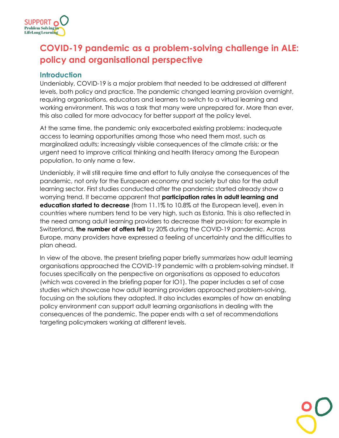

# **COVID-19 pandemic as a problem-solving challenge in ALE: policy and organisational perspective**

### **Introduction**

Undeniably, COVID-19 is a major problem that needed to be addressed at different levels, both policy and practice. The pandemic changed learning provision overnight, requiring organisations, educators and learners to switch to a virtual learning and working environment. This was a task that many were unprepared for. More than ever, this also called for more advocacy for better support at the policy level.

At the same time, the pandemic only exacerbated existing problems: inadequate access to learning opportunities among those who need them most, such as marginalized adults; increasingly visible consequences of the climate crisis; or the urgent need to improve critical thinking and health literacy among the European population, to only name a few.

Undeniably, it will still require time and effort to fully analyse the consequences of the pandemic, not only for the European economy and society but also for the adult learning sector. First studies conducted after the pandemic started already show a worrying trend. It became apparent that **participation rates in adult learning and education started to decrease** (from 11.1% to 10.8% at the European level), even in countries where numbers tend to be very high, such as Estonia. This is also reflected in the need among adult learning providers to decrease their provision; for example in Switzerland, **the number of offers fell** by 20% during the COVID-19 pandemic. Across Europe, many providers have expressed a feeling of uncertainty and the difficulties to plan ahead.

In view of the above, the present briefing paper briefly summarizes how adult learning organisations approached the COVID-19 pandemic with a problem-solving mindset. It focuses specifically on the perspective on organisations as opposed to educators (which was covered in the briefing paper for IO1). The paper includes a set of case studies which showcase how adult learning providers approached problem-solving, focusing on the solutions they adopted. It also includes examples of how an enabling policy environment can support adult learning organisations in dealing with the consequences of the pandemic. The paper ends with a set of recommendations targeting policymakers working at different levels.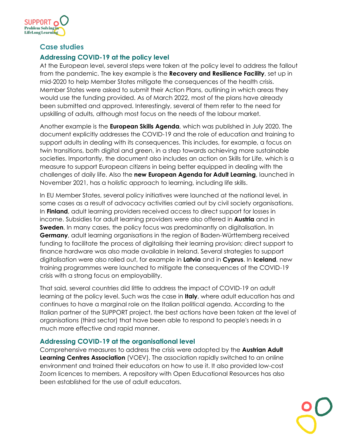

### **Case studies**

### **Addressing COVID-19 at the policy level**

At the European level, several steps were taken at the policy level to address the fallout from the pandemic. The key example is the **Recovery and Resilience Facility**, set up in mid-2020 to help Member States mitigate the consequences of the health crisis. Member States were asked to submit their Action Plans, outlining in which areas they would use the funding provided. As of March 2022, most of the plans have already been submitted and approved. Interestingly, several of them refer to the need for upskilling of adults, although most focus on the needs of the labour market.

Another example is the **European Skills Agenda**, which was published in July 2020. The document explicitly addresses the COVID-19 and the role of education and training to support adults in dealing with its consequences. This includes, for example, a focus on twin transitions, both digital and green, in a step towards achieving more sustainable societies. Importantly, the document also includes an action on Skills for Life, which is a measure to support European citizens in being better equipped in dealing with the challenges of daily life. Also the **new European Agenda for Adult Learning**, launched in November 2021, has a holistic approach to learning, including life skills.

In EU Member States, several policy initiatives were launched at the national level, in some cases as a result of advocacy activities carried out by civil society organisations. In **Finland**, adult learning providers received access to direct support for losses in income. Subsidies for adult learning providers were also offered in **Austria** and in **Sweden**. In many cases, the policy focus was predominantly on digitalisation. In **Germany**, adult learning organisations in the region of Baden-Württemberg received funding to facilitate the process of digitalising their learning provision; direct support to finance hardware was also made available in Ireland. Several strategies to support digitalisation were also rolled out, for example in **Latvia** and in **Cyprus**. In **Iceland**, new training programmes were launched to mitigate the consequences of the COVID-19 crisis with a strong focus on employability.

That said, several countries did little to address the impact of COVID-19 on adult learning at the policy level. Such was the case in **Italy**, where adult education has and continues to have a marginal role on the Italian political agenda. According to the Italian partner of the SUPPORT project, the best actions have been taken at the level of organisations (third sector) that have been able to respond to people's needs in a much more effective and rapid manner.

### **Addressing COVID-19 at the organisational level**

Comprehensive measures to address the crisis were adopted by the **Austrian Adult Learning Centres Association** (VOEV). The association rapidly switched to an online environment and trained their educators on how to use it. It also provided low-cost Zoom licences to members. A repository with Open Educational Resources has also been established for the use of adult educators.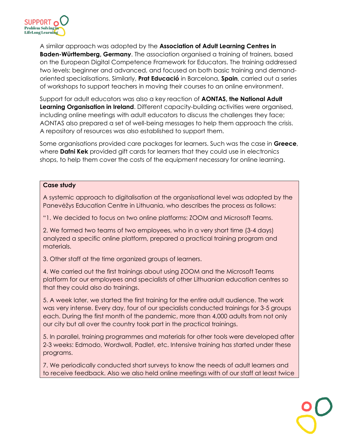

A similar approach was adopted by the **Association of Adult Learning Centres in Baden-Württemberg, Germany**. The association organised a training of trainers, based on the European Digital Competence Framework for Educators. The training addressed two levels: beginner and advanced, and focused on both basic training and demandoriented specialisations. Similarly, **Prat Educació** in Barcelona, **Spain**, carried out a series of workshops to support teachers in moving their courses to an online environment.

Support for adult educators was also a key reaction of **AONTAS, the National Adult Learning Organisation in Ireland**. Different capacity-building activities were organised, including online meetings with adult educators to discuss the challenges they face; AONTAS also prepared a set of well-being messages to help them approach the crisis. A repository of resources was also established to support them.

Some organisations provided care packages for learners. Such was the case in **Greece**, where **Dafni Kek** provided gift cards for learners that they could use in electronics shops, to help them cover the costs of the equipment necessary for online learning.

#### **Case study**

A systemic approach to digitalisation at the organisational level was adopted by the Panevėžys Education Centre in Lithuania, who describes the process as follows:

"1. We decided to focus on two online platforms: ZOOM and Microsoft Teams.

2. We formed two teams of two employees, who in a very short time (3-4 days) analyzed a specific online platform, prepared a practical training program and materials.

3. Other staff at the time organized groups of learners.

4. We carried out the first trainings about using ZOOM and the Microsoft Teams platform for our employees and specialists of other Lithuanian education centres so that they could also do trainings.

5. A week later, we started the first training for the entire adult audience. The work was very intense. Every day, four of our specialists conducted trainings for 3-5 groups each. During the first month of the pandemic, more than 4,000 adults from not only our city but all over the country took part in the practical trainings.

5. In parallel, training programmes and materials for other tools were developed after 2-3 weeks: Edmodo, Wordwall, Padlet, etc. Intensive training has started under these programs.

7. We periodically conducted short surveys to know the needs of adult learners and to receive feedback. Also we also held online meetings with of our staff at least twice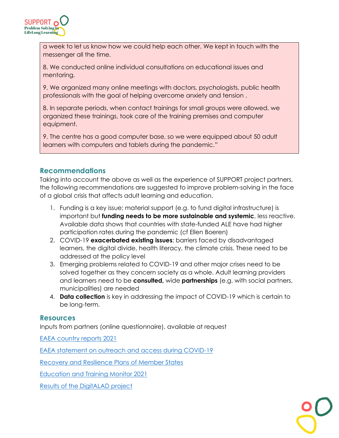

a week to let us know how we could help each other. We kept in touch with the messenger all the time.

8. We conducted online individual consultations on educational issues and mentoring.

9. We organized many online meetings with doctors, psychologists, public health professionals with the goal of helping overcome anxiety and tension .

8. In separate periods, when contact trainings for small groups were allowed, we organized these trainings, took care of the training premises and computer equipment.

9. The centre has a good computer base, so we were equipped about 50 adult learners with computers and tablets during the pandemic."

### **Recommendations**

Taking into account the above as well as the experience of SUPPORT project partners, the following recommendations are suggested to improve problem-solving in the face of a global crisis that affects adult learning and education.

- 1. Funding is a key issue; material support (e.g. to fund digital infrastructure) is important but **funding needs to be more sustainable and systemic**, less reactive. Available data shows that countries with state-funded ALE have had higher participation rates during the pandemic (cf Ellen Boeren)
- 2. COVID-19 **exacerbated existing issues**: barriers faced by disadvantaged learners, the digital divide, health literacy, the climate crisis. These need to be addressed at the policy level
- 3. Emerging problems related to COVID-19 and other major crises need to be solved together as they concern society as a whole. Adult learning providers and learners need to be **consulted,** wide **partnerships** (e.g. with social partners, municipalities) are needed
- 4. **Data collection** is key in addressing the impact of COVID-19 which is certain to be long-term.

### **Resources**

Inputs from partners (online questionnaire), available at request

[EAEA country reports 2021](https://countryreport.eaea.org/)

[EAEA statement on outreach and access during COVID-19](https://eaea.org/2020/12/17/improving-outreach-and-access-to-adult-learning-in-times-of-covid-19/)

[Recovery and Resilience Plans of Member States](https://ec.europa.eu/info/business-economy-euro/recovery-coronavirus/recovery-and-resilience-facility_en)

[Education and Training Monitor 2021](https://op.europa.eu/webpub/eac/education-and-training-monitor-2021/en/)

[Results of the DigitALAD project](https://eaea.org/2021/10/29/supporting-adult-educators-in-becoming-ambassadors-of-digital-transition/)